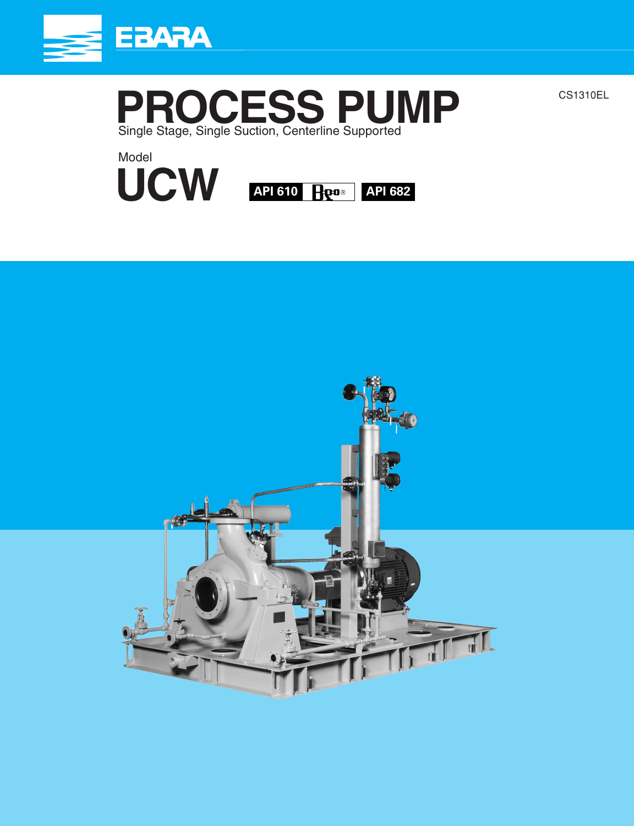



CS1310EL

Model **UCW API 610 API 682**

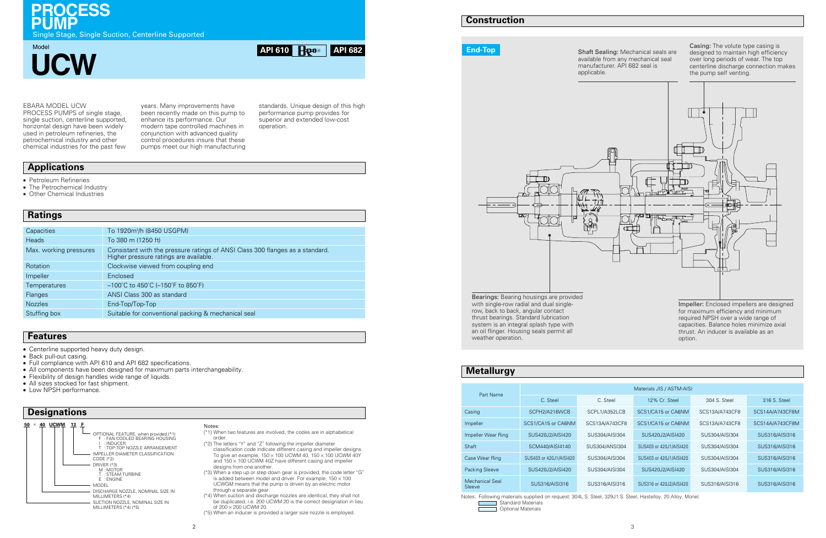# **Metallurgy** Part Name Casing SCPH2/A216WCB SCPL1/A3 Impeller SCS1/CA15 or CA6NM SCS13A/A7 Impeller Wear Ring SUS420J2/AISI420 SUS304/AI Shaft ScM440/AISI4140 SUS304/AISI304 SUS304/AISI4140 Case Wear Ring SUS403 or 420J1/AISI420 SUS304/AI Packing Sleeve SUS420J2/AISI420 SUS304/A

Notes: Following materials supplied on request: 304L S. Steel, 329J1 S. Steel, Hastelloy, 20 Alloy, Monel. Standard Materials  $\overline{\phantom{a}}$ Optional Materials

## **Construction**

#### EBARA MODEL UCW

PROCESS PUMPS of single stage, single suction, centerline supported, horizontal design have been widely used in petroleum refineries, the petrochemical industry and other chemical industries for the past few

standards. Unique design of this high performance pump provides for superior and extended low-cost operation.

years. Many improvements have been recently made on this pump to enhance its performance. Our modern tape controlled machines in conjunction with advanced quality control procedures insure that these pumps meet our high manufacturing

## **Applications**

**API 610 API 682**

**PROCESS**

**PUMP**<br>
Single Stage, Single Suction, Centerline Supported

Model



- Petroleum Refineries
- The Petrochemical Industry
- Other Chemical Industries

#### Notes:

- Centerline supported heavy duty design
- Back pull-out casing.
- Full compliance with API 610 and API 682 specifications.
- All components have been designed for maximum parts interchangeability.
- Flexibility of design handles wide range of liquids.
- All sizes stocked for fast shipment.
- Low NPSH performance.

- (\*1) When two features are involved, the codes are in alphabetical order.
- (\*2) The letters "Y" and "Z" following the impeller diameter classification code indicate different casing and impeller designs. To give an example,  $150 \times 100$  UCWM 40,  $150 \times 100$  UCWM 40Y and  $150 \times 100$  UCWM 40Z have different casing and impeller designs from one another.
- (\*3) When a step up or step down gear is provided, the code letter "G" is added between model and driver. For example,  $150 \times 100$ UCWGM means that the pump is driven by an electric motor through a separate gear.
- (\*4) When suction and discharge nozzles are identical, they shall not be duplicated, i.e. 200 UCWM 20 is the correct designation in lieu of 200 × 200 UCWM 20.
- (\*5) When an inducer is provided a larger size nozzle is employed.

## **Features**

## **Designations**

with single-row radial and dual singlerow, back to back, angular contact thrust bearings. Standard lubrication system is an integral splash type with an oil flinger. Housing seals permit all weather operation.

## **Ratings**

| Capacities             | To 1920m <sup>3</sup> /h (8450 USGPM)                                                                                   |
|------------------------|-------------------------------------------------------------------------------------------------------------------------|
| <b>Heads</b>           | To 380 m (1250 ft)                                                                                                      |
| Max. working pressures | Consistant with the pressure ratings of ANSI Class 300 flanges as a standard.<br>Higher pressure ratings are available. |
| Rotation               | Clockwise viewed from coupling end                                                                                      |
| Impeller               | Enclosed                                                                                                                |
| <b>Temperatures</b>    | $-100^{\circ}$ C to 450 $^{\circ}$ C (-150 $^{\circ}$ F to 850 $^{\circ}$ F)                                            |
| Flanges                | ANSI Class 300 as standard                                                                                              |
| <b>Nozzles</b>         | End-Top/Top-Top                                                                                                         |
| Stuffing box           | Suitable for conventional packing & mechanical seal                                                                     |



Shaft Sealing: Mechanical seals are available from any mechanical seal manufacturer. API 682 seal is applicable.

Casing: The volute type casing is designed to maintain high efficiency over long periods of wear. The top centerline discharge connection makes the pump self venting.

Impeller: Enclosed impellers are designed for maximum efficiency and minimum required NPSH over a wide range of capacities. Balance holes minimize axial thrust. An inducer is available as an option.



**End-Top**

| <u>ivietaliurgy</u>       |                           |                |                         |                |                 |  |  |  |  |  |  |  |  |
|---------------------------|---------------------------|----------------|-------------------------|----------------|-----------------|--|--|--|--|--|--|--|--|
|                           |                           |                |                         |                |                 |  |  |  |  |  |  |  |  |
| Part Name                 | Materials JIS / ASTM-AISI |                |                         |                |                 |  |  |  |  |  |  |  |  |
|                           | C. Steel                  | C. Steel       | 12% Cr. Steel           | 304 S. Steel   | 316 S. Steel    |  |  |  |  |  |  |  |  |
| Casing                    | SCPH2/A216WCB             | SCPL1/A352LCB  | SCS1/CA15 or CA6NM      | SCS13A/A743CF8 | SCS14A/A743CF8M |  |  |  |  |  |  |  |  |
| Impeller                  | SCS1/CA15 or CA6NM        | SCS13A/A743CF8 | SCS1/CA15 or CA6NM      | SCS13A/A743CF8 | SCS14A/A743CF8M |  |  |  |  |  |  |  |  |
| Impeller Wear Ring        | SUS420J2/AISI420          | SUS304/AISI304 | SUS420J2/AISI420        | SUS304/AISI304 | SUS316/AISI316  |  |  |  |  |  |  |  |  |
| Shaft                     | SCM440/AISI4140           | SUS304/ANSI304 | SUS403 or 420J1/AISI420 | SUS304/AISI304 | SUS316/AISI316  |  |  |  |  |  |  |  |  |
| Case Wear Ring            | SUS403 or 420J1/AISI420   | SUS304/AISI304 | SUS403 or 420J1/AISI420 | SUS304/AISI304 | SUS316/AISI316  |  |  |  |  |  |  |  |  |
| Packing Sleeve            | SUS420J2/AISI420          | SUS304/AISI304 | SUS420J2/AISI420        | SUS304/AISI304 | SUS316/AISI316  |  |  |  |  |  |  |  |  |
| Mechanical Seal<br>Sleeve | SUS316/AISI316            | SUS316/AISI316 | SUS316 or 420J2/AISI420 | SUS316/AISI316 | SUS316/AISI316  |  |  |  |  |  |  |  |  |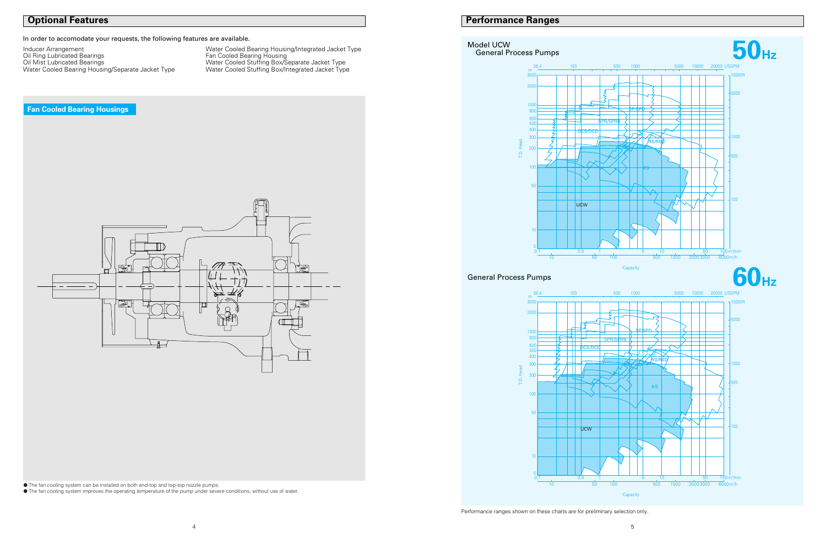## **Performance Ranges**

● The fan cooling system can be installed on both end-top and top-top nozzle pumps.

● The fan cooling system improves the operating temperature of the pump under severe conditions, without use of water.

## **Optional Features**

**Fan Cooled Bearing Housings**

In order to accomodate your requests, the following features are available.

Inducer Arrangement Water Cooled Bearing Housing/Integrated Jacket Type

Oil Ring Lubricated Bearings Fan Cooled Bearing Housing Oil Mist Lubricated Bearings Water Cooled Stuffing Box/Separate Jacket Type Water Cooled Bearing Housing/Separate Jacket Type Water Cooled Stuffing Box/Integrated Jacket Type



## Model UCW General Process Pumps

General Process Pumps

ل<del>تها</del> П -900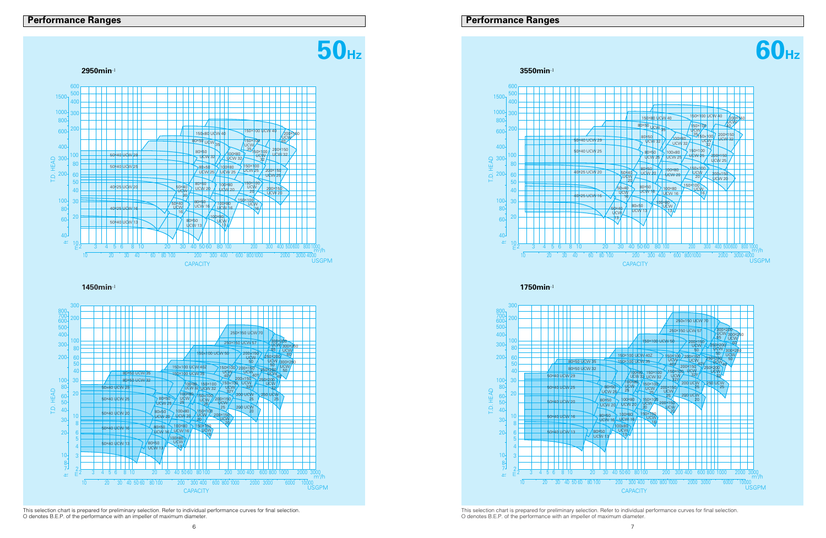## **Performance Ranges**



This selection chart is prepared for preliminary selection. Refer to individual performance curves for final selection. O denotes B.E.P. of the performance with an impeller of maximum diameter.





**1450min**-1

This selection chart is prepared for preliminary selection. Refer to individual performance curves for final selection. O denotes B.E.P. of the performance with an impeller of maximum diameter.





**1750min**-1

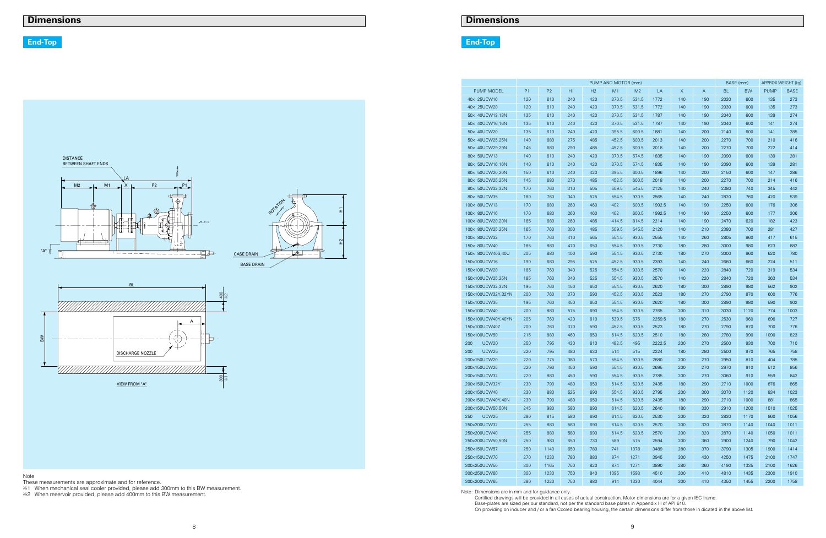|                          | PUMP AND MOTOR (mm) |                |     |     |       |       |        |     |     |           | BASE (mm) |             | APPROX WEIGHT (kg) |  |
|--------------------------|---------------------|----------------|-----|-----|-------|-------|--------|-----|-----|-----------|-----------|-------------|--------------------|--|
| PUMP MODEL               | P <sub>1</sub>      | P <sub>2</sub> | H1  | H2  | M1    | M2    | LA     | X   | Α   | <b>BL</b> | <b>BW</b> | <b>PUMP</b> | <b>BASE</b>        |  |
| 40× 25UCW16              | 120                 | 610            | 240 | 420 | 370.5 | 531.5 | 1772   | 140 | 190 | 2030      | 600       | 135         | 273                |  |
| 40× 25UCW20              | 120                 | 610            | 240 | 420 | 370.5 | 531.5 | 1772   | 140 | 190 | 2030      | 600       | 135         | 273                |  |
| 50× 40UCW13,13N          | 135                 | 610            | 240 | 420 | 370.5 | 531.5 | 1787   | 140 | 190 | 2040      | 600       | 139         | 274                |  |
| 50x 40UCW16,16N          | 135                 | 610            | 240 | 420 | 370.5 | 531.5 | 1787   | 140 | 190 | 2040      | 600       | 141         | 274                |  |
| 50× 40UCW20              | 135                 | 610            | 240 | 420 | 395.5 | 600.5 | 1881   | 140 | 200 | 2140      | 600       | 141         | 285                |  |
| 50× 40UCW25,25N          | 140                 | 680            | 275 | 485 | 452.5 | 600.5 | 2013   | 140 | 200 | 2270      | 700       | 210         | 416                |  |
| 50x 40UCW29,29N          | 145                 | 680            | 290 | 485 | 452.5 | 600.5 | 2018   | 140 | 200 | 2270      | 700       | 222         | 414                |  |
| 80× 50UCW13              | 140                 | 610            | 240 | 420 | 370.5 | 574.5 | 1835   | 140 | 190 | 2090      | 600       | 139         | 281                |  |
| 80x 50UCW16,16N          | 140                 | 610            | 240 | 420 | 370.5 | 574.5 | 1835   | 140 | 190 | 2090      | 600       | 139         | 281                |  |
| 80x 50UCW20,20N          | 150                 | 610            | 240 | 420 | 395.5 | 600.5 | 1896   | 140 | 200 | 2150      | 600       | 147         | 286                |  |
| 80× 50UCW25,25N          | 145                 | 680            | 270 | 485 | 452.5 | 600.5 | 2018   | 140 | 200 | 2270      | 700       | 214         | 416                |  |
| 80× 50UCW32,32N          | 170                 | 760            | 310 | 505 | 509.5 | 545.5 | 2125   | 140 | 240 | 2380      | 740       | 345         | 442                |  |
| 80× 50UCW35              | 180                 | 760            | 340 | 525 | 554.5 | 930.5 | 2565   | 140 | 240 | 2820      | 760       | 420         | 539                |  |
| 100× 80UCW13             | 170                 | 680            | 260 | 460 | 402   | 600.5 | 1992.5 | 140 | 190 | 2250      | 600       | 176         | 306                |  |
| 100x 80UCW16             | 170                 | 680            | 260 | 460 | 402   | 600.5 | 1992.5 | 140 | 190 | 2250      | 600       | 177         | 306                |  |
| 100x 80UCW20,20N         | 165                 | 680            | 260 | 485 | 414.5 | 814.5 | 2214   | 140 | 190 | 2470      | 620       | 182         | 423                |  |
| 100× 80UCW25,25N         | 165                 | 760            | 300 | 485 | 509.5 | 545.5 | 2120   | 140 | 210 | 2380      | 700       | 281         | 427                |  |
| 100× 80UCW32             | 170                 | 760            | 410 | 565 | 554.5 | 930.5 | 2555   | 140 | 260 | 2805      | 860       | 417         | 615                |  |
| 150× 80UCW40             | 185                 | 880            | 470 | 650 | 554.5 | 930.5 | 2730   | 180 | 280 | 3000      | 980       | 623         | 882                |  |
| 150× 80UCW40S,40U        | 205                 | 880            | 400 | 590 | 554.5 | 930.5 | 2730   | 180 | 270 | 3000      | 860       | 620         | 780                |  |
| 150×100UCW16             | 190                 | 680            | 295 | 525 | 452.5 | 930.5 | 2393   | 140 | 240 | 2660      | 660       | 224         | 511                |  |
| 150×100UCW20             | 185                 | 760            | 340 | 525 | 554.5 | 930.5 | 2570   | 140 | 220 | 2840      | 720       | 319         | 534                |  |
| 150×100UCW25,25N         | 185                 | 760            | 340 | 525 | 554.5 | 930.5 | 2570   | 140 | 220 | 2840      | 720       | 363         | 534                |  |
| 150×100UCW32,32N         | 195                 | 760            | 450 | 650 | 554.5 | 930.5 | 2620   | 180 | 300 | 2890      | 980       | 562         | 902                |  |
| 150×100UCW32Y,32YN       | 200                 | 760            | 370 | 590 | 452.5 | 930.5 | 2523   | 180 | 270 | 2790      | 870       | 600         | 776                |  |
| 150×100UCW35             | 195                 | 760            | 450 | 650 | 554.5 | 930.5 | 2620   | 180 | 300 | 2890      | 980       | 590         | 902                |  |
| 150×100UCW40             | 200                 | 880            | 575 | 690 | 554.5 | 930.5 | 2765   | 200 | 310 | 3030      | 1120      | 774         | 1003               |  |
| 150×100UCW40Y,40YN       | 205                 | 760            | 420 | 610 | 539.5 | 575   | 2259.5 | 180 | 270 | 2530      | 960       | 696         | 727                |  |
| 150×100UCW40Z            | 200                 | 760            | 370 | 590 | 452.5 | 930.5 | 2523   | 180 | 270 | 2790      | 870       | 700         | 776                |  |
| 150×100UCW50             | 215                 | 880            | 460 | 650 | 614.5 | 620.5 | 2510   | 180 | 280 | 2780      | 990       | 1090        | 823                |  |
| 200<br><b>UCW20</b>      | 250                 | 795            | 430 | 610 | 482.5 | 495   | 2222.5 | 200 | 270 | 2500      | 930       | 700         | 710                |  |
| 200<br>UCW <sub>25</sub> | 220                 | 795            | 480 | 630 | 514   | 515   | 2224   | 180 | 280 | 2500      | 970       | 765         | 758                |  |
| 200×150UCW20             | 220                 | 775            | 380 | 570 | 554.5 | 930.5 | 2680   | 200 | 270 | 2950      | 810       | 404         | 785                |  |
| 200×150UCW25             | 220                 | 790            | 450 | 590 | 554.5 | 930.5 | 2695   | 200 | 270 | 2970      | 910       | 512         | 856                |  |
| 200×150UCW32             | 220                 | 880            | 450 | 590 | 554.5 | 930.5 | 2785   | 200 | 270 | 3060      | 910       | 559         | 842                |  |
| 200×150UCW32Y            | 230                 | 790            | 480 | 650 | 614.5 | 620.5 | 2435   | 180 | 290 | 2710      | 1000      | 876         | 865                |  |
| 200×150UCW40             | 230                 | 880            | 525 | 690 | 554.5 | 930.5 | 2795   | 200 | 300 | 3070      | 1120      | 834         | 1023               |  |
| 200×150UCW40Y,40N        | 230                 | 790            | 480 | 650 | 614.5 | 620.5 | 2435   | 180 | 290 | 2710      | 1000      | 881         | 865                |  |
| 200×150UCW50,50N         | 245                 | 980            | 580 | 690 | 614.5 | 620.5 | 2640   | 180 | 330 | 2910      | 1200      | 1510        | 1025               |  |
| 250<br>UCW <sub>25</sub> | 280                 | 815            | 580 | 690 | 614.5 | 620.5 | 2530   | 200 | 320 | 2830      | 1170      | 860         | 1056               |  |
| 250×200UCW32             | 255                 | 880            | 580 | 690 | 614.5 | 620.5 | 2570   | 200 | 320 | 2870      | 1140      | 1040        | 1011               |  |
| 250×200UCW40             | 255                 | 880            | 580 | 690 | 614.5 | 620.5 | 2570   | 200 | 320 | 2870      | 1140      | 1050        | 1011               |  |
| 250×200UCW50,50N         | 250                 | 980            | 650 | 730 | 589   | 575   | 2594   | 200 | 360 | 2900      | 1240      | 790         | 1042               |  |
| 250×150UCW57             | 250                 | 1140           | 650 | 780 | 741   | 1078  | 3489   | 280 | 370 | 3790      | 1305      | 1900        | 1414               |  |
| 250×150UCW70             | 270                 | 1230           | 780 | 880 | 874   | 1271  | 3945   | 300 | 430 | 4250      | 1475      | 2100        | 1747               |  |
| 300×250UCW50             | 300                 | 1165           | 750 | 820 | 874   | 1271  | 3890   | 280 | 360 | 4190      | 1335      | 2100        | 1626               |  |
| 300×250UCW60             | 300                 | 1230           | 750 | 840 | 1095  | 1593  | 4510   | 300 | 410 | 4810      | 1435      | 2300        | 1910               |  |
| 300×200UCW65             | 280                 | 1220           | 750 | 880 | 914   | 1330  | 4044   | 300 | 410 | 4350      | 1455      | 2200        | 1758               |  |
|                          |                     |                |     |     |       |       |        |     |     |           |           |             |                    |  |



## **End-Top End-Top**

| × | I<br>۰.<br>v.<br>٠<br>× |
|---|-------------------------|
|---|-------------------------|

7. These measurements are approximate and for reference.<br>
These measurements are approximate and for reference. The second of this BW measurement.<br>
The When reservoir provided, please add 400mm to this BW measurement.<br>
The

Certified drawings will be provided in all cases of actual construction. Motor dimensions are for a given IEC frame. Base-plates are sized per our standard, not per the standard base plates in Appendix H of API 610. On providing on inducer and / or a fan Cooled bearing housing, the certain dimensions differ from those in dicated in the above list.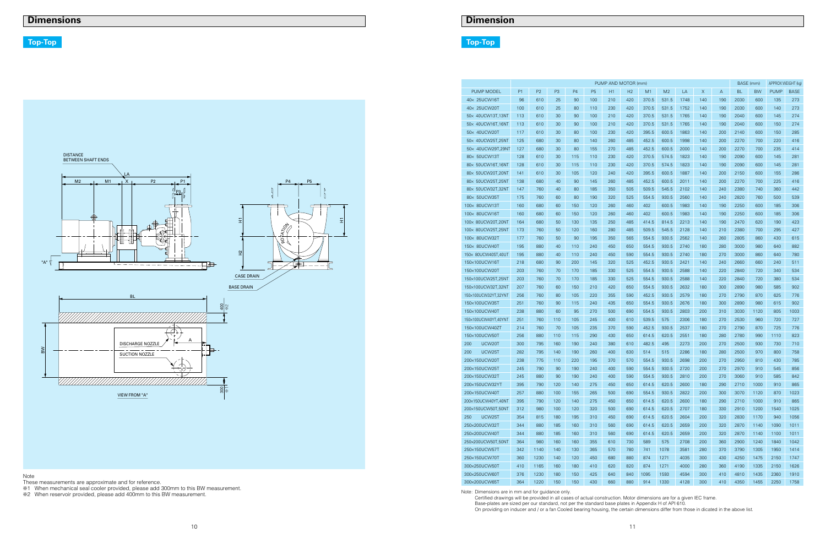## **Dimension**

|                      | PUMP AND MOTOR (mm)<br>BASE (mm) |                |     |                |                |     |                |       |                |      |     |     | APPROX WEIGHT (kg) |           |             |             |
|----------------------|----------------------------------|----------------|-----|----------------|----------------|-----|----------------|-------|----------------|------|-----|-----|--------------------|-----------|-------------|-------------|
| <b>PUMP MODEL</b>    | P1                               | P <sub>2</sub> | P3  | P <sub>4</sub> | P <sub>5</sub> | H1  | H <sub>2</sub> | M1    | M <sub>2</sub> | LA   | X   | A   | <b>BL</b>          | <b>BW</b> | <b>PUMP</b> | <b>BASE</b> |
| 40× 25UCW16T         | 96                               | 610            | 25  | 90             | 100            | 210 | 420            | 370.5 | 531.5          | 1748 | 140 | 190 | 2030               | 600       | 135         | 273         |
| 40× 25UCW20T         | 100                              | 610            | 25  | 80             | 110            | 230 | 420            | 370.5 | 531.5          | 1752 | 140 | 190 | 2030               | 600       | 140         | 273         |
| 50× 40UCW13T,13NT    | 113                              | 610            | 30  | 90             | 100            | 210 | 420            | 370.5 | 531.5          | 1765 | 140 | 190 | 2040               | 600       | 145         | 274         |
| 50× 40UCW16T,16NT    | 113                              | 610            | 30  | 90             | 100            | 210 | 420            | 370.5 | 531.5          | 1765 | 140 | 190 | 2040               | 600       | 150         | 274         |
| 50x 40UCW20T         | 117                              | 610            | 30  | 80             | 100            | 230 | 420            | 395.5 | 600.5          | 1863 | 140 | 200 | 2140               | 600       | 150         | 285         |
| 50× 40UCW25T,25NT    | 125                              | 680            | 30  | 80             | 140            | 260 | 485            | 452.5 | 600.5          | 1998 | 140 | 200 | 2270               | 700       | 220         | 416         |
| 50x 40UCW29T,29NT    | 127                              | 680            | 30  | 80             | 155            | 270 | 485            | 452.5 | 600.5          | 2000 | 140 | 200 | 2270               | 700       | 235         | 414         |
| 80x 50UCW13T         | 128                              | 610            | 30  | 115            | 110            | 230 | 420            | 370.5 | 574.5          | 1823 | 140 | 190 | 2090               | 600       | 145         | 281         |
| 80x 50UCW16T,16NT    | 128                              | 610            | 30  | 115            | 110            | 230 | 420            | 370.5 | 574.5          | 1823 | 140 | 190 | 2090               | 600       | 145         | 281         |
| 80x 50UCW20T,20NT    | 141                              | 610            | 30  | 105            | 120            | 240 | 420            | 395.5 | 600.5          | 1887 | 140 | 200 | 2150               | 600       | 155         | 286         |
| 80x 50UCW25T,25NT    | 138                              | 680            | 40  | 90             | 145            | 260 | 485            | 452.5 | 600.5          | 2011 | 140 | 200 | 2270               | 700       | 225         | 416         |
| 80x 50UCW32T,32NT    | 147                              | 760            | 40  | 80             | 185            | 350 | 505            | 509.5 | 545.5          | 2102 | 140 | 240 | 2380               | 740       | 360         | 442         |
| 80x 50UCW35T         | 175                              | 760            | 60  | 80             | 190            | 320 | 525            | 554.5 | 930.5          | 2560 | 140 | 240 | 2820               | 760       | 500         | 539         |
| 100x 80UCW13T        | 160                              | 680            | 60  | 150            | 120            | 260 | 460            | 402   | 600.5          | 1983 | 140 | 190 | 2250               | 600       | 185         | 306         |
| 100x 80UCW16T        | 160                              | 680            | 60  | 150            | 120            | 260 | 460            | 402   | 600.5          | 1983 | 140 | 190 | 2250               | 600       | 185         | 306         |
| 100x 80UCW20T,20NT   | 164                              | 680            | 50  | 130            | 135            | 250 | 485            | 414.5 | 814.5          | 2213 | 140 | 190 | 2470               | 620       | 190         | 423         |
| 100x 80UCW25T,25NT   | 173                              | 760            | 50  | 120            | 160            | 280 | 485            | 509.5 | 545.5          | 2128 | 140 | 210 | 2380               | 700       | 295         | 427         |
| 100x 80UCW32T        | 177                              | 760            | 50  | 90             | 195            | 350 | 565            | 554.5 | 930.5          | 2562 | 140 | 260 | 2805               | 860       | 430         | 615         |
| 150× 80UCW40T        | 195                              | 880            | 40  | 110            | 240            | 450 | 650            | 554.5 | 930.5          | 2740 | 180 | 280 | 3000               | 980       | 640         | 882         |
| 150x 80UCW40ST,40UT  | 195                              | 880            | 40  | 110            | 240            | 450 | 590            | 554.5 | 930.5          | 2740 | 180 | 270 | 3000               | 860       | 640         | 780         |
| 150×100UCW16T        | 218                              | 680            | 90  | 200            | 145            | 320 | 525            | 452.5 | 930.5          | 2421 | 140 | 240 | 2660               | 660       | 240         | 511         |
| 150×100UCW20T        | 203                              | 760            | 70  | 170            | 185            | 330 | 525            | 554.5 | 930.5          | 2588 | 140 | 220 | 2840               | 720       | 340         | 534         |
| 150×100UCW25T,25NT   | 203                              | 760            | 70  | 170            | 185            | 330 | 525            | 554.5 | 930.5          | 2588 | 140 | 220 | 2840               | 720       | 380         | 534         |
| 150×100UCW32T,32NT   | 207                              | 760            | 60  | 150            | 210            | 420 | 650            | 554.5 | 930.5          | 2632 | 180 | 300 | 2890               | 980       | 585         | 902         |
| 150×100UCW32YT,32YNT | 256                              | 760            | 80  | 105            | 220            | 355 | 590            | 452.5 | 930.5          | 2579 | 180 | 270 | 2790               | 870       | 625         | 776         |
| 150×100UCW35T        | 251                              | 760            | 90  | 115            | 240            | 435 | 650            | 554.5 | 930.5          | 2676 | 180 | 300 | 2890               | 980       | 615         | 902         |
| 150×100UCW40T        | 238                              | 880            | 60  | 95             | 270            | 500 | 690            | 554.5 | 930.5          | 2803 | 200 | 310 | 3030               | 1120      | 805         | 1003        |
| 150×100UCW40YT,40YNT | 251                              | 760            | 110 | 105            | 245            | 400 | 610            | 539.5 | 575            | 2306 | 180 | 270 | 2530               | 960       | 720         | 727         |
| 150×100UCW40ZT       | 214                              | 760            | 70  | 105            | 235            | 370 | 590            | 452.5 | 930.5          | 2537 | 180 | 270 | 2790               | 870       | 725         | 776         |
| 150×100UCW50T        | 256                              | 880            | 110 | 115            | 290            | 430 | 650            | 614.5 | 620.5          | 2551 | 180 | 280 | 2780               | 990       | 1110        | 823         |
| UCW20T<br>200        | 300                              | 795            | 160 | 190            | 240            | 380 | 610            | 482.5 | 495            | 2273 | 200 | 270 | 2500               | 930       | 730         | 710         |
| 200<br>UCW25T        | 282                              | 795            | 140 | 190            | 260            | 400 | 630            | 514   | 515            | 2286 | 180 | 280 | 2500               | 970       | 800         | 758         |
| 200×150UCW20T        | 238                              | 775            | 110 | 220            | 195            | 370 | 570            | 554.5 | 930.5          | 2698 | 200 | 270 | 2950               | 810       | 430         | 785         |
| 200×150UCW25T        | 245                              | 790            | 90  | 190            | 240            | 400 | 590            | 554.5 | 930.5          | 2720 | 200 | 270 | 2970               | 910       | 545         | 856         |
| 200×150UCW32T        | 245                              | 880            | 90  | 190            | 240            | 400 | 590            | 554.5 | 930.5          | 2810 | 200 | 270 | 3060               | 910       | 585         | 842         |
| 200×150UCW32YT       | 395                              | 790            | 120 | 140            | 275            | 450 | 650            | 614.5 | 620.5          | 2600 | 180 | 290 | 2710               | 1000      | 910         | 865         |
| 200×150UCW40T        | 257                              | 880            | 100 | 155            | 265            | 500 | 690            | 554.5 | 930.5          | 2822 | 200 | 300 | 3070               | 1120      | 870         | 1023        |
| 200×150UCW40YT,40NT  | 395                              | 790            | 120 | 140            | 275            | 450 | 650            | 614.5 | 620.5          | 2600 | 180 | 290 | 2710               | 1000      | 910         | 865         |
| 200×150UCW50T,50NT   | 312                              | 980            | 100 | 120            | 320            | 500 | 690            | 614.5 | 620.5          | 2707 | 180 | 330 | 2910               | 1200      | 1540        | 1025        |
| UCW25T<br>250        | 354                              | 815            | 180 | 195            | 310            | 450 | 690            | 614.5 | 620.5          | 2604 | 200 | 320 | 2830               | 1170      | 940         | 1056        |
| 250×200UCW32T        | 344                              | 880            | 185 | 160            | 310            | 560 | 690            | 614.5 | 620.5          | 2659 | 200 | 320 | 2870               | 1140      | 1090        | 1011        |
| 250×200UCW40T        | 344                              | 880            | 185 | 160            | 310            | 560 | 690            | 614.5 | 620.5          | 2659 | 200 | 320 | 2870               | 1140      | 1100        | 1011        |
| 250×200UCW50T,50NT   | 364                              | 980            | 160 | 160            | 355            | 610 | 730            | 589   | 575            | 2708 | 200 | 360 | 2900               | 1240      | 1840        | 1042        |
| 250×150UCW57T        | 342                              | 1140           | 140 | 130            | 365            | 570 | 780            | 741   | 1078           | 3581 | 280 | 370 | 3790               | 1305      | 1950        | 1414        |
| 250×150UCW70T        | 360                              | 1230           | 140 | 120            | 450            | 680 | 880            | 874   | 1271           | 4035 | 300 | 430 | 4250               | 1475      | 2150        | 1747        |
| 300×250UCW50T        | 410                              | 1165           | 160 | 180            | 410            | 620 | 820            | 874   | 1271           | 4000 | 280 | 360 | 4190               | 1335      | 2150        | 1626        |
| 300×250UCW60T        | 376                              | 1230           | 180 | 150            | 425            | 640 | 840            | 1095  | 1593           | 4594 | 300 | 410 | 4810               | 1435      | 2360        | 1910        |
| 300×200UCW65T        | 364                              | 1220           | 150 | 150            | 430            | 660 | 880            | 914   | 1330           | 4128 | 300 | 410 | 4350               | 1455      | 2250        | 1758        |

## **Top-Top**

Note: Dimensions are in mm and for guidance only.

Certified drawings will be provided in all cases of actual construction. Motor dimensions are for a given IEC frame. Base-plates are sized per our standard, not per the standard base plates in Appendix H of API 610. On providing on inducer and / or a fan Cooled bearing housing, the certain dimensions differ from those in dicated in the above list.



## **Top-Top**

Note

These measurements are approximate and for reference. ❇1 When mechanical seal cooler provided, please add 300mm to this BW measurement.

❇2 When reservoir provided, please add 400mm to this BW measurement.